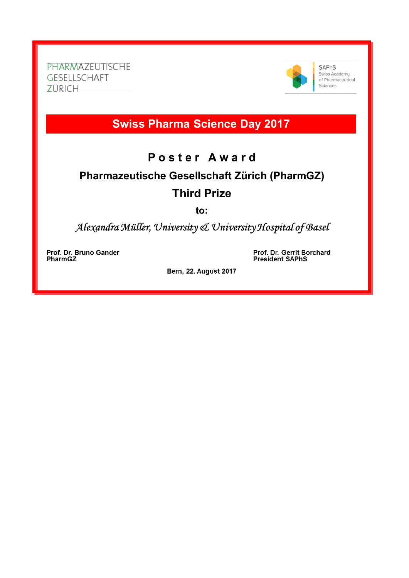PHARMAZEUTISCHE GESELLSCHAFT ZÜRICH



**SAPhS** Swiss Academy<br>of Pharmaceutical Sciences

## **Swiss Pharma Science Day 2017**

## Poster Award

## Pharmazeutische Gesellschaft Zürich (PharmGZ) **Third Prize**

to:

Alexandra Müller, University & University Hospital of Basel

Prof. Dr. Bruno Gander **PharmGZ** 

Prof. Dr. Gerrit Borchard **President SAPhS** 

Bern, 22. August 2017